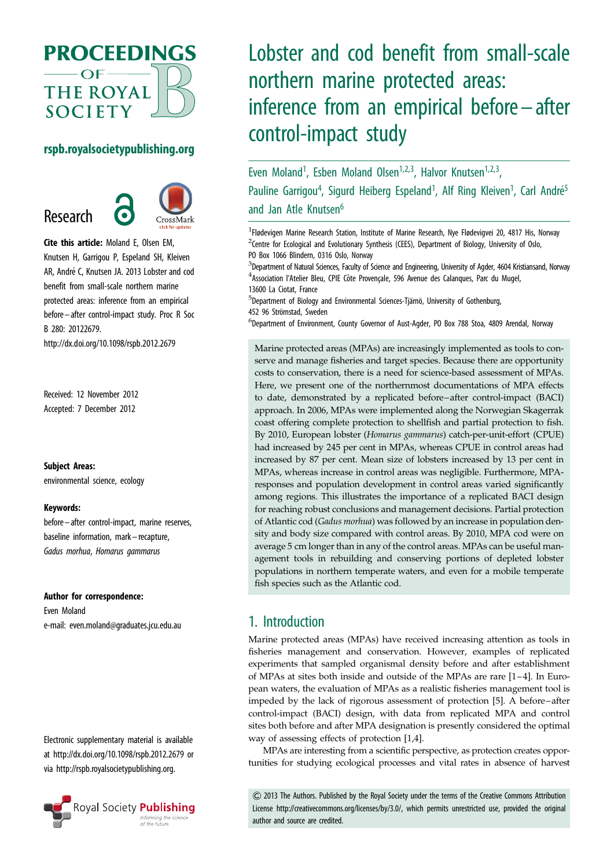

## rspb.royalsocietypublishing.org

Research



Cite this article: Moland E, Olsen EM, Knutsen H, Garrigou P, Espeland SH, Kleiven AR, André C, Knutsen JA. 2013 Lobster and cod benefit from small-scale northern marine protected areas: inference from an empirical before– after control-impact study. Proc R Soc B 280: 20122679.

http://dx.doi.org/10.1098/rspb.2012.2679

Received: 12 November 2012 Accepted: 7 December 2012

#### Subject Areas:

environmental science, ecology

#### Keywords:

before– after control-impact, marine reserves, baseline information, mark –recapture, Gadus morhua, Homarus gammarus

#### Author for correspondence:

Even Moland e-mail: [even.moland@graduates.jcu.edu.au](mailto:even.moland@graduates.jcu.edu.au)

Electronic supplementary material is available at<http://dx.doi.org/10.1098/rspb.2012.2679> or via<http://rspb.royalsocietypublishing.org>.



# Lobster and cod benefit from small-scale northern marine protected areas: inference from an empirical before– after control-impact study

Even Moland<sup>1</sup>, Esben Moland Olsen<sup>1,2,3</sup>, Halvor Knutsen<sup>1,2,3</sup>, Pauline Garrigou<sup>4</sup>, Sigurd Heiberg Espeland<sup>1</sup>, Alf Ring Kleiven<sup>1</sup>, Carl André<sup>5</sup> and Jan Atle Knutsen<sup>6</sup>

<sup>1</sup>Flødevigen Marine Research Station, Institute of Marine Research, Nye Flødevigvei 20, 4817 His, Norway  $2$ Centre for Ecological and Evolutionary Synthesis (CEES), Department of Biology, University of Oslo, PO Box 1066 Blindern, 0316 Oslo, Norway

 $3$ Department of Natural Sciences, Faculty of Science and Engineering, University of Agder, 4604 Kristiansand, Norway <sup>4</sup> Association l'Atelier Bleu, CPIE Côte Provençale, 596 Avenue des Calanques, Parc du Mugel, 13600 La Ciotat, France

<sup>5</sup>Department of Biology and Environmental Sciences-Tjärnö, University of Gothenburg, 452 96 Strömstad, Sweden

<sup>6</sup>Department of Environment, County Governor of Aust-Agder, PO Box 788 Stoa, 4809 Arendal, Norway

Marine protected areas (MPAs) are increasingly implemented as tools to conserve and manage fisheries and target species. Because there are opportunity costs to conservation, there is a need for science-based assessment of MPAs. Here, we present one of the northernmost documentations of MPA effects to date, demonstrated by a replicated before–after control-impact (BACI) approach. In 2006, MPAs were implemented along the Norwegian Skagerrak coast offering complete protection to shellfish and partial protection to fish. By 2010, European lobster (Homarus gammarus) catch-per-unit-effort (CPUE) had increased by 245 per cent in MPAs, whereas CPUE in control areas had increased by 87 per cent. Mean size of lobsters increased by 13 per cent in MPAs, whereas increase in control areas was negligible. Furthermore, MPAresponses and population development in control areas varied significantly among regions. This illustrates the importance of a replicated BACI design for reaching robust conclusions and management decisions. Partial protection of Atlantic cod (Gadus morhua) was followed by an increase in population density and body size compared with control areas. By 2010, MPA cod were on average 5 cm longer than in any of the control areas. MPAs can be useful management tools in rebuilding and conserving portions of depleted lobster populations in northern temperate waters, and even for a mobile temperate fish species such as the Atlantic cod.

# 1. Introduction

Marine protected areas (MPAs) have received increasing attention as tools in fisheries management and conservation. However, examples of replicated experiments that sampled organismal density before and after establishment of MPAs at sites both inside and outside of the MPAs are rare [\[1](#page-6-0)–[4\]](#page-7-0). In European waters, the evaluation of MPAs as a realistic fisheries management tool is impeded by the lack of rigorous assessment of protection [[5](#page-7-0)]. A before –after control-impact (BACI) design, with data from replicated MPA and control sites both before and after MPA designation is presently considered the optimal way of assessing effects of protection [[1](#page-6-0),[4](#page-7-0)].

MPAs are interesting from a scientific perspective, as protection creates opportunities for studying ecological processes and vital rates in absence of harvest

& 2013 The Authors. Published by the Royal Society under the terms of the Creative Commons Attribution License http://creativecommons.org/licenses/by/3.0/, which permits unrestricted use, provided the original author and source are credited.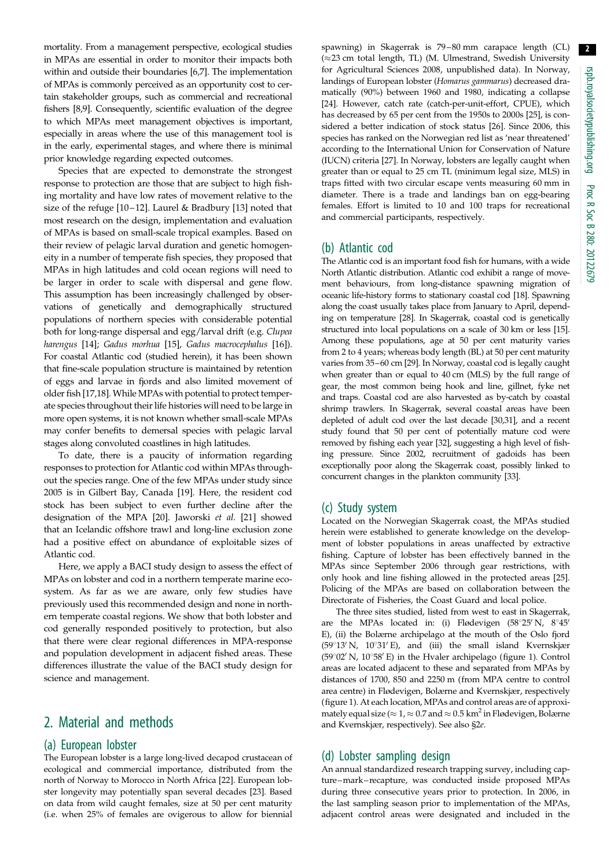2

mortality. From a management perspective, ecological studies in MPAs are essential in order to monitor their impacts both within and outside their boundaries [\[6,7](#page-7-0)]. The implementation of MPAs is commonly perceived as an opportunity cost to certain stakeholder groups, such as commercial and recreational fishers [[8,9\]](#page-7-0). Consequently, scientific evaluation of the degree to which MPAs meet management objectives is important, especially in areas where the use of this management tool is in the early, experimental stages, and where there is minimal prior knowledge regarding expected outcomes.

Species that are expected to demonstrate the strongest response to protection are those that are subject to high fishing mortality and have low rates of movement relative to the size of the refuge [[10](#page-7-0) –[12](#page-7-0)]. Laurel & Bradbury [\[13](#page-7-0)] noted that most research on the design, implementation and evaluation of MPAs is based on small-scale tropical examples. Based on their review of pelagic larval duration and genetic homogeneity in a number of temperate fish species, they proposed that MPAs in high latitudes and cold ocean regions will need to be larger in order to scale with dispersal and gene flow. This assumption has been increasingly challenged by observations of genetically and demographically structured populations of northern species with considerable potential both for long-range dispersal and egg/larval drift (e.g. Clupea harengus [\[14\]](#page-7-0); Gadus morhua [\[15](#page-7-0)], Gadus macrocephalus [[16\]](#page-7-0)). For coastal Atlantic cod (studied herein), it has been shown that fine-scale population structure is maintained by retention of eggs and larvae in fjords and also limited movement of older fish [[17,18\]](#page-7-0). While MPAs with potential to protect temperate species throughout their life histories will need to be large in more open systems, it is not known whether small-scale MPAs may confer benefits to demersal species with pelagic larval stages along convoluted coastlines in high latitudes.

To date, there is a paucity of information regarding responses to protection for Atlantic cod within MPAs throughout the species range. One of the few MPAs under study since 2005 is in Gilbert Bay, Canada [[19\]](#page-7-0). Here, the resident cod stock has been subject to even further decline after the designation of the MPA [[20\]](#page-7-0). Jaworski et al. [\[21](#page-7-0)] showed that an Icelandic offshore trawl and long-line exclusion zone had a positive effect on abundance of exploitable sizes of Atlantic cod.

Here, we apply a BACI study design to assess the effect of MPAs on lobster and cod in a northern temperate marine ecosystem. As far as we are aware, only few studies have previously used this recommended design and none in northern temperate coastal regions. We show that both lobster and cod generally responded positively to protection, but also that there were clear regional differences in MPA-response and population development in adjacent fished areas. These differences illustrate the value of the BACI study design for science and management.

## 2. Material and methods

## (a) European lobster

The European lobster is a large long-lived decapod crustacean of ecological and commercial importance, distributed from the north of Norway to Morocco in North Africa [[22](#page-7-0)]. European lobster longevity may potentially span several decades [[23](#page-7-0)]. Based on data from wild caught females, size at 50 per cent maturity (i.e. when 25% of females are ovigerous to allow for biennial

spawning) in Skagerrak is 79 – 80 mm carapace length (CL)  $(\approx 23$  cm total length, TL) (M. Ulmestrand, Swedish University for Agricultural Sciences 2008, unpublished data). In Norway, landings of European lobster (Homarus gammarus) decreased dramatically (90%) between 1960 and 1980, indicating a collapse [[24](#page-7-0)]. However, catch rate (catch-per-unit-effort, CPUE), which has decreased by 65 per cent from the 1950s to 2000s [[25](#page-7-0)], is considered a better indication of stock status [[26](#page-7-0)]. Since 2006, this species has ranked on the Norwegian red list as 'near threatened' according to the International Union for Conservation of Nature (IUCN) criteria [[27](#page-7-0)]. In Norway, lobsters are legally caught when greater than or equal to 25 cm TL (minimum legal size, MLS) in traps fitted with two circular escape vents measuring 60 mm in diameter. There is a trade and landings ban on egg-bearing females. Effort is limited to 10 and 100 traps for recreational and commercial participants, respectively.

## (b) Atlantic cod

The Atlantic cod is an important food fish for humans, with a wide North Atlantic distribution. Atlantic cod exhibit a range of movement behaviours, from long-distance spawning migration of oceanic life-history forms to stationary coastal cod [\[18\]](#page-7-0). Spawning along the coast usually takes place from January to April, depending on temperature [\[28](#page-7-0)]. In Skagerrak, coastal cod is genetically structured into local populations on a scale of 30 km or less [[15\]](#page-7-0). Among these populations, age at 50 per cent maturity varies from 2 to 4 years; whereas body length (BL) at 50 per cent maturity varies from 35–60 cm [[29](#page-7-0)]. In Norway, coastal cod is legally caught when greater than or equal to 40 cm (MLS) by the full range of gear, the most common being hook and line, gillnet, fyke net and traps. Coastal cod are also harvested as by-catch by coastal shrimp trawlers. In Skagerrak, several coastal areas have been depleted of adult cod over the last decade [\[30,31](#page-7-0)], and a recent study found that 50 per cent of potentially mature cod were removed by fishing each year [\[32](#page-7-0)], suggesting a high level of fishing pressure. Since 2002, recruitment of gadoids has been exceptionally poor along the Skagerrak coast, possibly linked to concurrent changes in the plankton community [[33](#page-7-0)].

### (c) Study system

Located on the Norwegian Skagerrak coast, the MPAs studied herein were established to generate knowledge on the development of lobster populations in areas unaffected by extractive fishing. Capture of lobster has been effectively banned in the MPAs since September 2006 through gear restrictions, with only hook and line fishing allowed in the protected areas [\[25\]](#page-7-0). Policing of the MPAs are based on collaboration between the Directorate of Fisheries, the Coast Guard and local police.

The three sites studied, listed from west to east in Skagerrak, are the MPAs located in: (i) Flødevigen (58°25' N,  $8°45'$ E), (ii) the Bolærne archipelago at the mouth of the Oslo fjord ( $59^{\circ}13'$  N,  $10^{\circ}31'E$ ), and (iii) the small island Kvernskjær (59 $\degree$ 02' N, 10 $\degree$ 58' E) in the Hvaler archipelago [\(figure 1\)](#page-2-0). Control areas are located adjacent to these and separated from MPAs by distances of 1700, 850 and 2250 m (from MPA centre to control area centre) in Flødevigen, Bolærne and Kvernskjær, respectively ([figure 1\)](#page-2-0). At each location, MPAs and control areas are of approximately equal size ( $\approx$  1,  $\approx$  0.7 and  $\approx$  0.5 km<sup>2</sup> in Flødevigen, Bolærne and Kvernskjær, respectively). See also §2e.

### (d) Lobster sampling design

An annual standardized research trapping survey, including capture–mark – recapture, was conducted inside proposed MPAs during three consecutive years prior to protection. In 2006, in the last sampling season prior to implementation of the MPAs, adjacent control areas were designated and included in the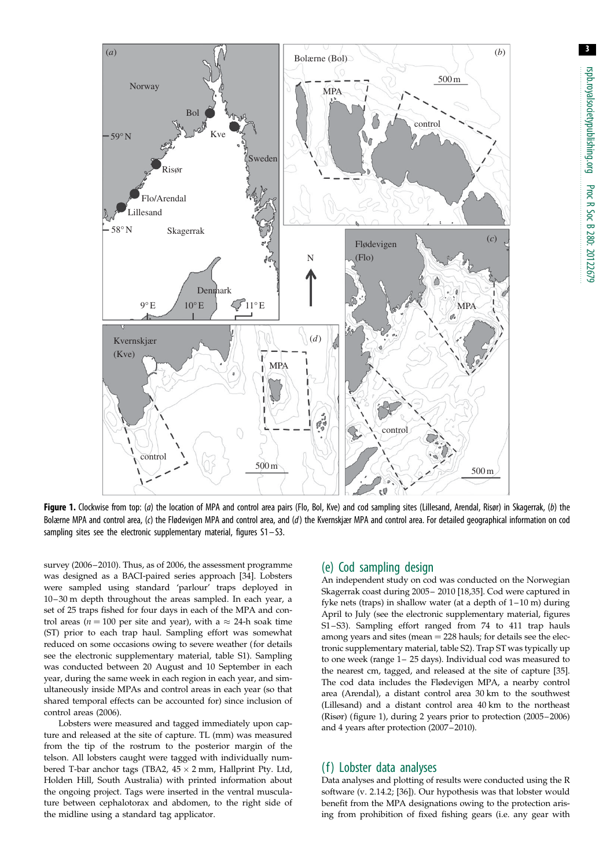<span id="page-2-0"></span>

Figure 1. Clockwise from top: (a) the location of MPA and control area pairs (Flo, Bol, Kve) and cod sampling sites (Lillesand, Arendal, Risør) in Skagerrak, (b) the Bolærne MPA and control area, (c) the Flødevigen MPA and control area, and (d) the Kvernskjær MPA and control area. For detailed geographical information on cod sampling sites see the electronic supplementary material, figures S1 – S3.

survey (2006–2010). Thus, as of 2006, the assessment programme was designed as a BACI-paired series approach [[34](#page-7-0)]. Lobsters were sampled using standard 'parlour' traps deployed in 10 – 30 m depth throughout the areas sampled. In each year, a set of 25 traps fished for four days in each of the MPA and control areas ( $n = 100$  per site and year), with a  $\approx 24$ -h soak time (ST) prior to each trap haul. Sampling effort was somewhat reduced on some occasions owing to severe weather (for details see the electronic supplementary material, table S1). Sampling was conducted between 20 August and 10 September in each year, during the same week in each region in each year, and simultaneously inside MPAs and control areas in each year (so that shared temporal effects can be accounted for) since inclusion of control areas (2006).

Lobsters were measured and tagged immediately upon capture and released at the site of capture. TL (mm) was measured from the tip of the rostrum to the posterior margin of the telson. All lobsters caught were tagged with individually numbered T-bar anchor tags (TBA2,  $45 \times 2$  mm, Hallprint Pty. Ltd, Holden Hill, South Australia) with printed information about the ongoing project. Tags were inserted in the ventral musculature between cephalotorax and abdomen, to the right side of the midline using a standard tag applicator.

#### (e) Cod sampling design

An independent study on cod was conducted on the Norwegian Skagerrak coast during 2005 – 2010 [[18,35\]](#page-7-0). Cod were captured in fyke nets (traps) in shallow water (at a depth of  $1-10$  m) during April to July (see the electronic supplementary material, figures S1 –S3). Sampling effort ranged from 74 to 411 trap hauls among years and sites (mean  $= 228$  hauls; for details see the electronic supplementary material, table S2). Trap ST was typically up to one week (range 1– 25 days). Individual cod was measured to the nearest cm, tagged, and released at the site of capture [\[35\]](#page-7-0). The cod data includes the Flødevigen MPA, a nearby control area (Arendal), a distant control area 30 km to the southwest (Lillesand) and a distant control area 40 km to the northeast (Risør) (figure 1), during 2 years prior to protection (2005– 2006) and 4 years after protection (2007–2010).

### (f) Lobster data analyses

Data analyses and plotting of results were conducted using the R software (v. 2.14.2; [\[36\]](#page-7-0)). Our hypothesis was that lobster would benefit from the MPA designations owing to the protection arising from prohibition of fixed fishing gears (i.e. any gear with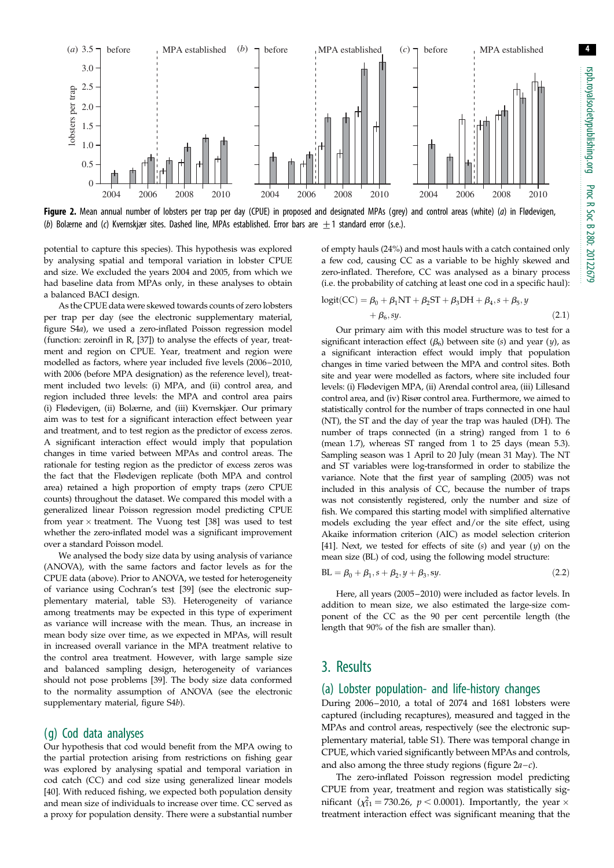<span id="page-3-0"></span>

Figure 2. Mean annual number of lobsters per trap per day (CPUE) in proposed and designated MPAs (grey) and control areas (white) (a) in Flødevigen, (b) Bolærne and (c) Kvernskjær sites. Dashed line, MPAs established. Error bars are +1 standard error (s.e.).

potential to capture this species). This hypothesis was explored by analysing spatial and temporal variation in lobster CPUE and size. We excluded the years 2004 and 2005, from which we had baseline data from MPAs only, in these analyses to obtain a balanced BACI design.

As the CPUE data were skewed towards counts of zero lobsters per trap per day (see the electronic supplementary material, figure S4a), we used a zero-inflated Poisson regression model (function: zeroinfl in R, [[37](#page-7-0)]) to analyse the effects of year, treatment and region on CPUE. Year, treatment and region were modelled as factors, where year included five levels (2006–2010, with 2006 (before MPA designation) as the reference level), treatment included two levels: (i) MPA, and (ii) control area, and region included three levels: the MPA and control area pairs (i) Flødevigen, (ii) Bolærne, and (iii) Kvernskjær. Our primary aim was to test for a significant interaction effect between year and treatment, and to test region as the predictor of excess zeros. A significant interaction effect would imply that population changes in time varied between MPAs and control areas. The rationale for testing region as the predictor of excess zeros was the fact that the Flødevigen replicate (both MPA and control area) retained a high proportion of empty traps (zero CPUE counts) throughout the dataset. We compared this model with a generalized linear Poisson regression model predicting CPUE from year  $\times$  treatment. The Vuong test [[38](#page-7-0)] was used to test whether the zero-inflated model was a significant improvement over a standard Poisson model.

We analysed the body size data by using analysis of variance (ANOVA), with the same factors and factor levels as for the CPUE data (above). Prior to ANOVA, we tested for heterogeneity of variance using Cochran's test [[39](#page-7-0)] (see the electronic supplementary material, table S3). Heterogeneity of variance among treatments may be expected in this type of experiment as variance will increase with the mean. Thus, an increase in mean body size over time, as we expected in MPAs, will result in increased overall variance in the MPA treatment relative to the control area treatment. However, with large sample size and balanced sampling design, heterogeneity of variances should not pose problems [\[39\]](#page-7-0). The body size data conformed to the normality assumption of ANOVA (see the electronic supplementary material, figure S4b).

#### (g) Cod data analyses

Our hypothesis that cod would benefit from the MPA owing to the partial protection arising from restrictions on fishing gear was explored by analysing spatial and temporal variation in cod catch (CC) and cod size using generalized linear models [\[40\]](#page-7-0). With reduced fishing, we expected both population density and mean size of individuals to increase over time. CC served as a proxy for population density. There were a substantial number

of empty hauls (24%) and most hauls with a catch contained only a few cod, causing CC as a variable to be highly skewed and zero-inflated. Therefore, CC was analysed as a binary process (i.e. the probability of catching at least one cod in a specific haul):

$$
logit(CC) = \beta_0 + \beta_1 NT + \beta_2 ST + \beta_3 DH + \beta_4, s + \beta_5, y
$$
  
+  $\beta_6, sy.$  (2.1)

Our primary aim with this model structure was to test for a significant interaction effect  $(\beta_6)$  between site (s) and year (y), as a significant interaction effect would imply that population changes in time varied between the MPA and control sites. Both site and year were modelled as factors, where site included four levels: (i) Flødevigen MPA, (ii) Arendal control area, (iii) Lillesand control area, and (iv) Risør control area. Furthermore, we aimed to statistically control for the number of traps connected in one haul (NT), the ST and the day of year the trap was hauled (DH). The number of traps connected (in a string) ranged from 1 to 6 (mean 1.7), whereas ST ranged from 1 to 25 days (mean 5.3). Sampling season was 1 April to 20 July (mean 31 May). The NT and ST variables were log-transformed in order to stabilize the variance. Note that the first year of sampling (2005) was not included in this analysis of CC, because the number of traps was not consistently registered, only the number and size of fish. We compared this starting model with simplified alternative models excluding the year effect and/or the site effect, using Akaike information criterion (AIC) as model selection criterion [\[41\]](#page-7-0). Next, we tested for effects of site  $(s)$  and year  $(y)$  on the mean size (BL) of cod, using the following model structure:

$$
BL = \beta_0 + \beta_1, s + \beta_2, y + \beta_3, sy.
$$
 (2.2)

Here, all years (2005–2010) were included as factor levels. In addition to mean size, we also estimated the large-size component of the CC as the 90 per cent percentile length (the length that 90% of the fish are smaller than).

## 3. Results

#### (a) Lobster population- and life-history changes

During 2006–2010, a total of 2074 and 1681 lobsters were captured (including recaptures), measured and tagged in the MPAs and control areas, respectively (see the electronic supplementary material, table S1). There was temporal change in CPUE, which varied significantly between MPAs and controls, and also among the three study regions (figure  $2a-c$ ).

The zero-inflated Poisson regression model predicting CPUE from year, treatment and region was statistically sigmificant ( $\chi_{11}^2$  = 730.26,  $p < 0.0001$ ). Importantly, the year  $\times$ treatment interaction effect was significant meaning that the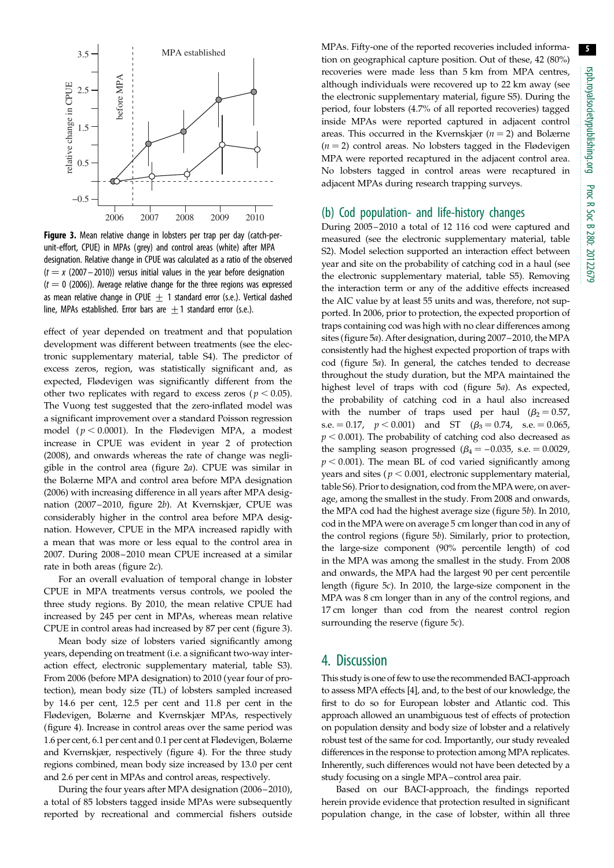

Figure 3. Mean relative change in lobsters per trap per day (catch-perunit-effort, CPUE) in MPAs (grey) and control areas (white) after MPA designation. Relative change in CPUE was calculated as a ratio of the observed  $(t = x (2007 – 2010))$  versus initial values in the year before designation  $(t = 0$  (2006)). Average relative change for the three regions was expressed as mean relative change in CPUE  $+$  1 standard error (s.e.). Vertical dashed line, MPAs established. Error bars are  $\pm$  1 standard error (s.e.).

effect of year depended on treatment and that population development was different between treatments (see the electronic supplementary material, table S4). The predictor of excess zeros, region, was statistically significant and, as expected, Flødevigen was significantly different from the other two replicates with regard to excess zeros ( $p < 0.05$ ). The Vuong test suggested that the zero-inflated model was a significant improvement over a standard Poisson regression model ( $p < 0.0001$ ). In the Flødevigen MPA, a modest increase in CPUE was evident in year 2 of protection (2008), and onwards whereas the rate of change was negligible in the control area [\(figure 2](#page-3-0)a). CPUE was similar in the Bolærne MPA and control area before MPA designation (2006) with increasing difference in all years after MPA designation (2007– 2010, [figure 2](#page-3-0)b). At Kvernskjær, CPUE was considerably higher in the control area before MPA designation. However, CPUE in the MPA increased rapidly with a mean that was more or less equal to the control area in 2007. During 2008–2010 mean CPUE increased at a similar rate in both areas ([figure 2](#page-3-0)c).

For an overall evaluation of temporal change in lobster CPUE in MPA treatments versus controls, we pooled the three study regions. By 2010, the mean relative CPUE had increased by 245 per cent in MPAs, whereas mean relative CPUE in control areas had increased by 87 per cent (figure 3).

Mean body size of lobsters varied significantly among years, depending on treatment (i.e. a significant two-way interaction effect, electronic supplementary material, table S3). From 2006 (before MPA designation) to 2010 (year four of protection), mean body size (TL) of lobsters sampled increased by 14.6 per cent, 12.5 per cent and 11.8 per cent in the Flødevigen, Bolærne and Kvernskjær MPAs, respectively [\(figure 4](#page-5-0)). Increase in control areas over the same period was 1.6 per cent, 6.1 per cent and 0.1 per cent at Flødevigen, Bolærne and Kvernskjær, respectively [\(figure 4](#page-5-0)). For the three study regions combined, mean body size increased by 13.0 per cent and 2.6 per cent in MPAs and control areas, respectively.

During the four years after MPA designation (2006 –2010), a total of 85 lobsters tagged inside MPAs were subsequently reported by recreational and commercial fishers outside MPAs. Fifty-one of the reported recoveries included information on geographical capture position. Out of these, 42 (80%) recoveries were made less than 5 km from MPA centres, although individuals were recovered up to 22 km away (see the electronic supplementary material, figure S5). During the period, four lobsters (4.7% of all reported recoveries) tagged inside MPAs were reported captured in adjacent control areas. This occurred in the Kvernskjær ( $n = 2$ ) and Bolærne  $(n = 2)$  control areas. No lobsters tagged in the Flødevigen MPA were reported recaptured in the adjacent control area. No lobsters tagged in control areas were recaptured in adjacent MPAs during research trapping surveys.

### (b) Cod population- and life-history changes

During 2005–2010 a total of 12 116 cod were captured and measured (see the electronic supplementary material, table S2). Model selection supported an interaction effect between year and site on the probability of catching cod in a haul (see the electronic supplementary material, table S5). Removing the interaction term or any of the additive effects increased the AIC value by at least 55 units and was, therefore, not supported. In 2006, prior to protection, the expected proportion of traps containing cod was high with no clear differences among sites [\(figure 5](#page-5-0)a). After designation, during 2007–2010, the MPA consistently had the highest expected proportion of traps with cod [\(figure 5](#page-5-0)a). In general, the catches tended to decrease throughout the study duration, but the MPA maintained the highest level of traps with cod [\(figure 5](#page-5-0)a). As expected, the probability of catching cod in a haul also increased with the number of traps used per haul ( $\beta_2 = 0.57$ , s.e.  $= 0.17$ ,  $p < 0.001$ ) and ST ( $\beta_3 = 0.74$ , s.e.  $= 0.065$ ,  $p < 0.001$ ). The probability of catching cod also decreased as the sampling season progressed  $(\beta_4 = -0.035, s.e. = 0.0029,$  $p < 0.001$ ). The mean BL of cod varied significantly among years and sites ( $p < 0.001$ , electronic supplementary material, table S6). Prior to designation, cod from the MPAwere, on average, among the smallest in the study. From 2008 and onwards, the MPA cod had the highest average size [\(figure 5](#page-5-0)b). In 2010, cod in the MPA were on average 5 cm longer than cod in any of the control regions ([figure 5](#page-5-0)b). Similarly, prior to protection, the large-size component (90% percentile length) of cod in the MPA was among the smallest in the study. From 2008 and onwards, the MPA had the largest 90 per cent percentile length [\(figure 5](#page-5-0)c). In 2010, the large-size component in the MPA was 8 cm longer than in any of the control regions, and 17 cm longer than cod from the nearest control region surrounding the reserve ([figure 5](#page-5-0)*c*).

## 4. Discussion

This study is one of few to use the recommended BACI-approach to assess MPA effects [[4\]](#page-7-0), and, to the best of our knowledge, the first to do so for European lobster and Atlantic cod. This approach allowed an unambiguous test of effects of protection on population density and body size of lobster and a relatively robust test of the same for cod. Importantly, our study revealed differences in the response to protection among MPA replicates. Inherently, such differences would not have been detected by a study focusing on a single MPA–control area pair.

Based on our BACI-approach, the findings reported herein provide evidence that protection resulted in significant population change, in the case of lobster, within all three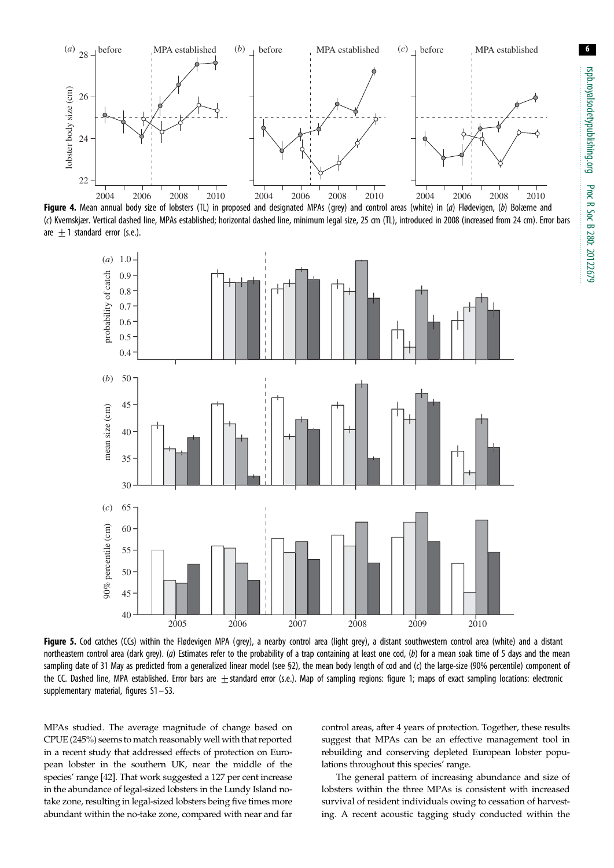<span id="page-5-0"></span>

Figure 4. Mean annual body size of lobsters (TL) in proposed and designated MPAs (grey) and control areas (white) in (a) Flødevigen, (b) Bolærne and (c) Kvernskjær. Vertical dashed line, MPAs established; horizontal dashed line, minimum legal size, 25 cm (TL), introduced in 2008 (increased from 24 cm). Error bars are  $+1$  standard error (s.e.).



Figure 5. Cod catches (CCs) within the Flødevigen MPA (grey), a nearby control area (light grey), a distant southwestern control area (white) and a distant northeastern control area (dark grey). (a) Estimates refer to the probability of a trap containing at least one cod, (b) for a mean soak time of 5 days and the mean sampling date of 31 May as predicted from a generalized linear model (see §2), the mean body length of cod and (c) the large-size (90% percentile) component of the CC. Dashed line, MPA established. Error bars are  $\pm$ standard error (s.e.). Map of sampling regions: [figure 1](#page-2-0); maps of exact sampling locations: electronic supplementary material, figures S1– S3.

MPAs studied. The average magnitude of change based on CPUE (245%) seems to match reasonably well with that reported in a recent study that addressed effects of protection on European lobster in the southern UK, near the middle of the species' range [\[42\]](#page-7-0). That work suggested a 127 per cent increase in the abundance of legal-sized lobsters in the Lundy Island notake zone, resulting in legal-sized lobsters being five times more abundant within the no-take zone, compared with near and far control areas, after 4 years of protection. Together, these results suggest that MPAs can be an effective management tool in rebuilding and conserving depleted European lobster populations throughout this species' range.

The general pattern of increasing abundance and size of lobsters within the three MPAs is consistent with increased survival of resident individuals owing to cessation of harvesting. A recent acoustic tagging study conducted within the 6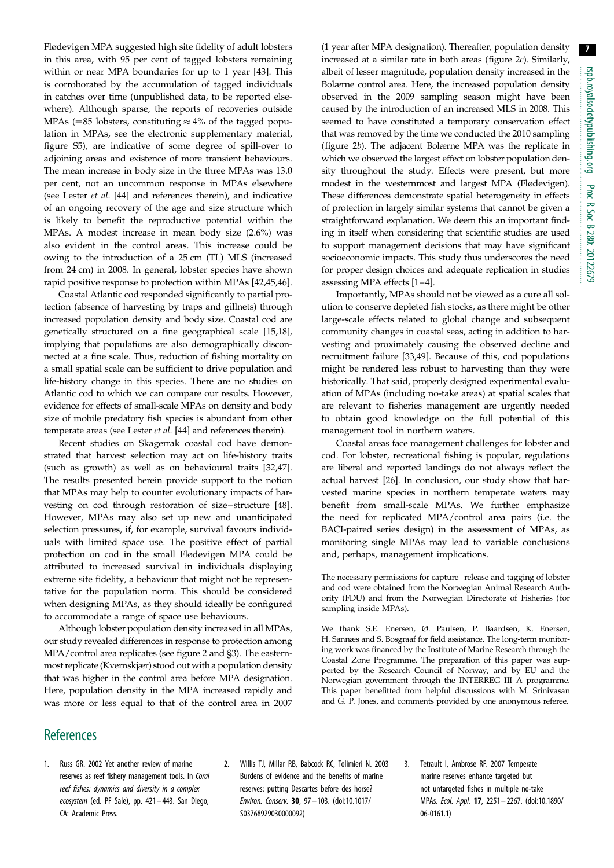<span id="page-6-0"></span>Flødevigen MPA suggested high site fidelity of adult lobsters in this area, with 95 per cent of tagged lobsters remaining within or near MPA boundaries for up to 1 year [[43\]](#page-7-0). This is corroborated by the accumulation of tagged individuals in catches over time (unpublished data, to be reported elsewhere). Although sparse, the reports of recoveries outside MPAs (=85 lobsters, constituting  $\approx$  4% of the tagged population in MPAs, see the electronic supplementary material, figure S5), are indicative of some degree of spill-over to adjoining areas and existence of more transient behaviours. The mean increase in body size in the three MPAs was 13.0 per cent, not an uncommon response in MPAs elsewhere (see Lester et al. [\[44](#page-7-0)] and references therein), and indicative of an ongoing recovery of the age and size structure which is likely to benefit the reproductive potential within the MPAs. A modest increase in mean body size (2.6%) was also evident in the control areas. This increase could be owing to the introduction of a 25 cm (TL) MLS (increased from 24 cm) in 2008. In general, lobster species have shown rapid positive response to protection within MPAs [[42,](#page-7-0)[45,46](#page-8-0)].

Coastal Atlantic cod responded significantly to partial protection (absence of harvesting by traps and gillnets) through increased population density and body size. Coastal cod are genetically structured on a fine geographical scale [\[15,18](#page-7-0)], implying that populations are also demographically disconnected at a fine scale. Thus, reduction of fishing mortality on a small spatial scale can be sufficient to drive population and life-history change in this species. There are no studies on Atlantic cod to which we can compare our results. However, evidence for effects of small-scale MPAs on density and body size of mobile predatory fish species is abundant from other temperate areas (see Lester et al. [\[44](#page-7-0)] and references therein).

Recent studies on Skagerrak coastal cod have demonstrated that harvest selection may act on life-history traits (such as growth) as well as on behavioural traits [\[32](#page-7-0)[,47](#page-8-0)]. The results presented herein provide support to the notion that MPAs may help to counter evolutionary impacts of harvesting on cod through restoration of size–structure [\[48](#page-8-0)]. However, MPAs may also set up new and unanticipated selection pressures, if, for example, survival favours individuals with limited space use. The positive effect of partial protection on cod in the small Flødevigen MPA could be attributed to increased survival in individuals displaying extreme site fidelity, a behaviour that might not be representative for the population norm. This should be considered when designing MPAs, as they should ideally be configured to accommodate a range of space use behaviours.

Although lobster population density increased in all MPAs, our study revealed differences in response to protection among MPA/control area replicates (see [figure 2](#page-3-0) and §3). The easternmost replicate (Kvernskjær) stood out with a population density that was higher in the control area before MPA designation. Here, population density in the MPA increased rapidly and was more or less equal to that of the control area in 2007 (1 year after MPA designation). Thereafter, population density increased at a similar rate in both areas [\(figure 2](#page-3-0)c). Similarly, albeit of lesser magnitude, population density increased in the Bolærne control area. Here, the increased population density observed in the 2009 sampling season might have been caused by the introduction of an increased MLS in 2008. This seemed to have constituted a temporary conservation effect that was removed by the time we conducted the 2010 sampling ([figure 2](#page-3-0)b). The adjacent Bolærne MPA was the replicate in which we observed the largest effect on lobster population density throughout the study. Effects were present, but more modest in the westernmost and largest MPA (Flødevigen). These differences demonstrate spatial heterogeneity in effects of protection in largely similar systems that cannot be given a straightforward explanation. We deem this an important finding in itself when considering that scientific studies are used to support management decisions that may have significant socioeconomic impacts. This study thus underscores the need for proper design choices and adequate replication in studies assessing MPA effects [1–[4\]](#page-7-0).

Importantly, MPAs should not be viewed as a cure all solution to conserve depleted fish stocks, as there might be other large-scale effects related to global change and subsequent community changes in coastal seas, acting in addition to harvesting and proximately causing the observed decline and recruitment failure [[33,](#page-7-0)[49](#page-8-0)]. Because of this, cod populations might be rendered less robust to harvesting than they were historically. That said, properly designed experimental evaluation of MPAs (including no-take areas) at spatial scales that are relevant to fisheries management are urgently needed to obtain good knowledge on the full potential of this management tool in northern waters.

Coastal areas face management challenges for lobster and cod. For lobster, recreational fishing is popular, regulations are liberal and reported landings do not always reflect the actual harvest [\[26](#page-7-0)]. In conclusion, our study show that harvested marine species in northern temperate waters may benefit from small-scale MPAs. We further emphasize the need for replicated MPA/control area pairs (i.e. the BACI-paired series design) in the assessment of MPAs, as monitoring single MPAs may lead to variable conclusions and, perhaps, management implications.

The necessary permissions for capture– release and tagging of lobster and cod were obtained from the Norwegian Animal Research Authority (FDU) and from the Norwegian Directorate of Fisheries (for sampling inside MPAs).

We thank S.E. Enersen, Ø. Paulsen, P. Baardsen, K. Enersen, H. Sannæs and S. Bosgraaf for field assistance. The long-term monitoring work was financed by the Institute of Marine Research through the Coastal Zone Programme. The preparation of this paper was supported by the Research Council of Norway, and by EU and the Norwegian government through the INTERREG III A programme. This paper benefitted from helpful discussions with M. Srinivasan and G. P. Jones, and comments provided by one anonymous referee.

# **References**

- 1. Russ GR. 2002 Yet another review of marine reserves as reef fishery management tools. In Coral reef fishes: dynamics and diversity in a complex ecosystem (ed. PF Sale), pp. 421– 443. San Diego, CA: Academic Press.
- 2. Willis TJ, Millar RB, Babcock RC, Tolimieri N. 2003 Burdens of evidence and the benefits of marine reserves: putting Descartes before des horse? Environ. Conserv. 30, 97 – 103. [\(doi:10.1017/](http://dx.doi.org/10.1017/S03768929030000092) [S03768929030000092](http://dx.doi.org/10.1017/S03768929030000092))
- 3. Tetrault I, Ambrose RF. 2007 Temperate marine reserves enhance targeted but not untargeted fishes in multiple no-take MPAs. Ecol. Appl. 17, 2251– 2267. ([doi:10.1890/](http://dx.doi.org/10.1890/06-0161.1) [06-0161.1](http://dx.doi.org/10.1890/06-0161.1))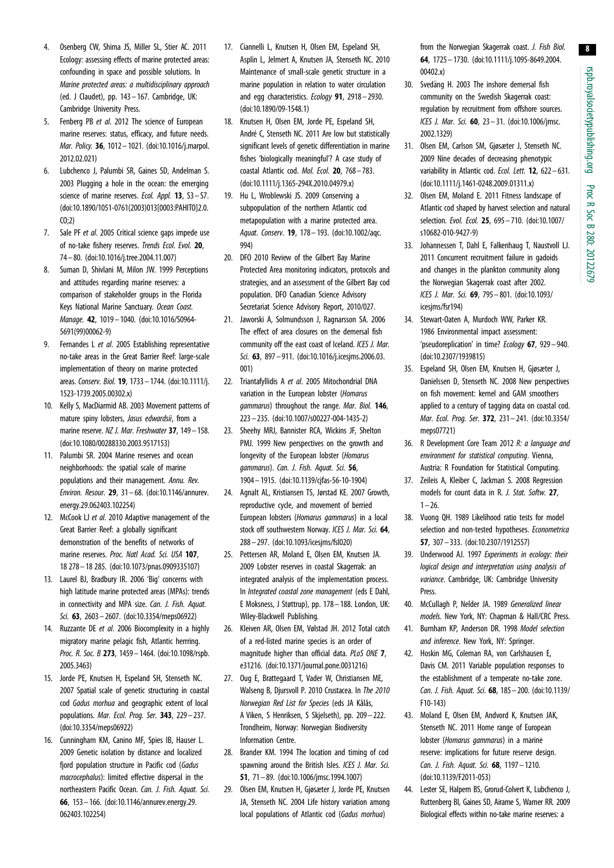8

- <span id="page-7-0"></span>4. Osenberg CW, Shima JS, Miller SL, Stier AC. 2011 Ecology: assessing effects of marine protected areas: confounding in space and possible solutions. In Marine protected areas: a multidisciplinary approach (ed. J Claudet), pp. 143– 167. Cambridge, UK: Cambridge University Press.
- 5. Fenberg PB et al. 2012 The science of European marine reserves: status, efficacy, and future needs. Mar. Policy. 36, 1012– 1021. [\(doi:10.1016/j.marpol.](http://dx.doi.org/10.1016/j.marpol.2012.02.021) [2012.02.021\)](http://dx.doi.org/10.1016/j.marpol.2012.02.021)
- 6. Lubchenco J, Palumbi SR, Gaines SD, Andelman S. 2003 Plugging a hole in the ocean: the emerging science of marine reserves. Ecol. Appl. 13, S3-S7. [\(doi:10.1890/1051-0761\(2003\)013\[0003:PAHITO\]2.0.](http://dx.doi.org/10.1890/1051-0761(2003)013[0003:PAHITO]2.0.CO;2)  $C(0;2)$
- 7. Sale PF et al. 2005 Critical science gaps impede use of no-take fishery reserves. Trends Ecol. Evol. 20, 74 – 80. ([doi:10.1016/j.tree.2004.11.007\)](http://dx.doi.org/10.1016/j.tree.2004.11.007)
- 8. Suman D, Shivlani M, Milon JW. 1999 Perceptions and attitudes regarding marine reserves: a comparison of stakeholder groups in the Florida Keys National Marine Sanctuary. Ocean Coast. Manage. 42, 1019– 1040. [\(doi:10.1016/S0964-](http://dx.doi.org/10.1016/S0964-5691(99)00062-9) [5691\(99\)00062-9\)](http://dx.doi.org/10.1016/S0964-5691(99)00062-9)
- 9. Fernandes L et al. 2005 Establishing representative no-take areas in the Great Barrier Reef: large-scale implementation of theory on marine protected areas. Conserv. Biol. 19, 1733 – 1744. [\(doi:10.1111/j.](http://dx.doi.org/10.1111/j.1523-1739.2005.00302.x) [1523-1739.2005.00302.x\)](http://dx.doi.org/10.1111/j.1523-1739.2005.00302.x)
- 10. Kelly S, MacDiarmid AB. 2003 Movement patterns of mature spiny lobsters, Jasus edwardsii, from a marine reserve. NZ J. Mar. Freshwater 37, 149 - 158. [\(doi:10.1080/00288330.2003.9517153](http://dx.doi.org/10.1080/00288330.2003.9517153))
- 11. Palumbi SR. 2004 Marine reserves and ocean neighborhoods: the spatial scale of marine populations and their management. Annu. Rev. Environ. Resour. 29, 31– 68. [\(doi:10.1146/annurev.](http://dx.doi.org/10.1146/annurev.energy.29.062403.102254) [energy.29.062403.102254\)](http://dx.doi.org/10.1146/annurev.energy.29.062403.102254)
- 12. McCook LJ et al. 2010 Adaptive management of the Great Barrier Reef: a globally significant demonstration of the benefits of networks of marine reserves. Proc. Natl Acad. Sci. USA 107, 18 278– 18 285. ([doi:10.1073/pnas.0909335107](http://dx.doi.org/10.1073/pnas.0909335107))
- 13. Laurel BJ, Bradbury IR. 2006 'Big' concerns with high latitude marine protected areas (MPAs): trends in connectivity and MPA size. Can. J. Fish. Aquat. Sci. 63, 2603 – 2607. [\(doi:10.3354/meps06922\)](http://dx.doi.org/10.3354/meps06922)
- 14. Ruzzante DE et al. 2006 Biocomplexity in a highly migratory marine pelagic fish, Atlantic herrring. Proc. R. Soc. B 273, 1459-1464. [\(doi:10.1098/rspb.](http://dx.doi.org/10.1098/rspb.2005.3463) [2005.3463\)](http://dx.doi.org/10.1098/rspb.2005.3463)
- 15. Jorde PE, Knutsen H, Espeland SH, Stenseth NC. 2007 Spatial scale of genetic structuring in coastal cod Gadus morhua and geographic extent of local populations. Mar. Ecol. Prog. Ser. 343, 229– 237. [\(doi:10.3354/meps06922\)](http://dx.doi.org/10.3354/meps06922)
- 16. Cunningham KM, Canino MF, Spies IB, Hauser L. 2009 Genetic isolation by distance and localized fjord population structure in Pacific cod (Gadus macrocephalus): limited effective dispersal in the northeastern Pacific Ocean. Can. J. Fish. Aquat. Sci. 66, 153– 166. ([doi:10.1146/annurev.energy.29.](http://dx.doi.org/10.1146/annurev.energy.29.062403.102254) [062403.102254](http://dx.doi.org/10.1146/annurev.energy.29.062403.102254))
- 17. Ciannelli L, Knutsen H, Olsen EM, Espeland SH, Asplin L, Jelmert A, Knutsen JA, Stenseth NC. 2010 Maintenance of small-scale genetic structure in a marine population in relation to water circulation and egg characteristics. Ecology 91, 2918 - 2930. [\(doi:10.1890/09-1548.1](http://dx.doi.org/10.1890/09-1548.1))
- 18. Knutsen H, Olsen EM, Jorde PE, Espeland SH, André C, Stenseth NC, 2011 Are low but statistically significant levels of genetic differentiation in marine fishes 'biologically meaningful'? A case study of coastal Atlantic cod. Mol. Ecol. 20, 768– 783. [\(doi:10.1111/j.1365-294X.2010.04979.x](http://dx.doi.org/10.1111/j.1365-294X.2010.04979.x))
- 19. Hu L, Wroblewski JS. 2009 Conserving a subpopulation of the northern Atlantic cod metapopulation with a marine protected area. Aquat. Conserv. 19, 178– 193. [\(doi:10.1002/aqc.](http://dx.doi.org/10.1002/aqc.994) [994](http://dx.doi.org/10.1002/aqc.994))
- 20. DFO 2010 Review of the Gilbert Bay Marine Protected Area monitoring indicators, protocols and strategies, and an assessment of the Gilbert Bay cod population. DFO Canadian Science Advisory Secretariat Science Advisory Report, 2010/027.
- 21. Jaworski A, Solmundsson J, Ragnarsson SA. 2006 The effect of area closures on the demersal fish community off the east coast of Iceland. ICES J. Mar. Sci. **63**, 897 – 911. (doi:10.1016/i.icesims.2006.03. [001](http://dx.doi.org/10.1016/j.icesjms.2006.03.001))
- 22. Triantafyllidis A et al. 2005 Mitochondrial DNA variation in the European lobster (Homarus gammarus) throughout the range. Mar. Biol. 146, 223 – 235. [\(doi:10.1007/s00227-004-1435-2\)](http://dx.doi.org/10.1007/s00227-004-1435-2)
- 23. Sheehy MRJ, Bannister RCA, Wickins JF, Shelton PMJ. 1999 New perspectives on the growth and longevity of the European lobster (Homarus gammarus). Can. J. Fish. Aquat. Sci. 56, 1904 – 1915. [\(doi:10.1139/cjfas-56-10-1904\)](http://dx.doi.org/10.1139/cjfas-56-10-1904)
- 24. Agnalt AL, Kristiansen TS, Jørstad KE. 2007 Growth, reproductive cycle, and movement of berried European lobsters (Homarus gammarus) in a local stock off southwestern Norway. ICES J. Mar. Sci. 64, 288 – 297. [\(doi:10.1093/icesjms/fsl020](http://dx.doi.org/10.1093/icesjms/fsl020))
- 25. Pettersen AR, Moland E, Olsen EM, Knutsen JA. 2009 Lobster reserves in coastal Skagerrak: an integrated analysis of the implementation process. In Integrated coastal zone management (eds E Dahl, E Moksness, J Støttrup), pp. 178 – 188. London, UK: Wiley-Blackwell Publishing.
- 26. Kleiven AR, Olsen EM, Vølstad JH. 2012 Total catch of a red-listed marine species is an order of magnitude higher than official data. PLOS ONE 7. e31216. ([doi:10.1371/journal.pone.0031216](http://dx.doi.org/10.1371/journal.pone.0031216))
- 27. Oug E, Brattegaard T, Vader W, Christiansen ME, Walseng B, Djursvoll P. 2010 Crustacea. In The 2010 Norwegian Red List for Species (eds JA Kålås, A Viken, S Henriksen, S Skjelseth), pp. 209 – 222. Trondheim, Norway: Norwegian Biodiversity Information Centre.
- 28. Brander KM. 1994 The location and timing of cod spawning around the British Isles. ICES J. Mar. Sci. 51, 71 – 89. ([doi:10.1006/jmsc.1994.1007](http://dx.doi.org/10.1006/jmsc.1994.1007))
- 29. Olsen EM, Knutsen H, Gjøsæter J, Jorde PE, Knutsen JA, Stenseth NC. 2004 Life history variation among local populations of Atlantic cod (Gadus morhua)

from the Norwegian Skagerrak coast. J. Fish Biol. 64, 1725– 1730. [\(doi:10.1111/j.1095-8649.2004.](http://dx.doi.org/10.1111/j.1095-8649.2004.00402.x) [00402.x](http://dx.doi.org/10.1111/j.1095-8649.2004.00402.x))

- 30. Svedäng H. 2003 The inshore demersal fish community on the Swedish Skagerrak coast: regulation by recruitment from offshore sources. ICES J. Mar. Sci. 60, 23– 31. ([doi:10.1006/jmsc.](http://dx.doi.org/10.1006/jmsc.2002.1329) [2002.1329](http://dx.doi.org/10.1006/jmsc.2002.1329))
- 31. Olsen EM, Carlson SM, Gjøsæter J, Stenseth NC. 2009 Nine decades of decreasing phenotypic variability in Atlantic cod. Ecol. Lett. 12, 622-631. ([doi:10.1111/j.1461-0248.2009.01311.x\)](http://dx.doi.org/10.1111/j.1461-0248.2009.01311.x)
- 32. Olsen EM, Moland E. 2011 Fitness landscape of Atlantic cod shaped by harvest selection and natural selection. Evol. Ecol. 25, 695 – 710. ([doi:10.1007/](http://dx.doi.org/10.1007/s10682-010-9427-9) [s10682-010-9427-9](http://dx.doi.org/10.1007/s10682-010-9427-9))
- 33. Johannessen T, Dahl E, Falkenhaug T, Naustvoll LJ. 2011 Concurrent recruitment failure in gadoids and changes in the plankton community along the Norwegian Skagerrak coast after 2002. ICES J. Mar. Sci. 69, 795– 801. ([doi:10.1093/](http://dx.doi.org/10.1093/icesjms/fsr194) [icesjms/fsr194\)](http://dx.doi.org/10.1093/icesjms/fsr194)
- 34. Stewart-Oaten A, Murdoch WW, Parker KR. 1986 Environmental impact assessment: 'pseudoreplication' in time? Ecology 67, 929– 940. ([doi:10.2307/1939815](http://dx.doi.org/10.2307/1939815))
- 35. Espeland SH, Olsen EM, Knutsen H, Gjøsæter J, Danielssen D, Stenseth NC. 2008 New perspectives on fish movement: kernel and GAM smoothers applied to a century of tagging data on coastal cod. Mar. Ecol. Prog. Ser. 372, 231– 241. ([doi:10.3354/](http://dx.doi.org/10.3354/meps07721) [meps07721](http://dx.doi.org/10.3354/meps07721))
- 36. R Development Core Team 2012 R: a language and environment for statistical computing. Vienna, Austria: R Foundation for Statistical Computing.
- 37. Zeileis A, Kleiber C, Jackman S. 2008 Regression models for count data in R. J. Stat. Softw. 27.  $1 - 26$ .
- 38. Vuong QH. 1989 Likelihood ratio tests for model selection and non-tested hypotheses. Econometrica 57, 307 – 333. [\(doi:10.2307/1912557\)](http://dx.doi.org/10.2307/1912557)
- 39. Underwood AJ. 1997 Experiments in ecology: their logical design and interpretation using analysis of variance. Cambridge, UK: Cambridge University Press.
- 40. McCullagh P, Nelder JA. 1989 Generalized linear models. New York, NY: Chapman & Hall/CRC Press.
- 41. Burnham KP, Anderson DR. 1998 Model selection and inference. New York, NY: Springer.
- 42. Hoskin MG, Coleman RA, von Carlshausen E, Davis CM. 2011 Variable population responses to the establishment of a temperate no-take zone. Can. J. Fish. Aquat. Sci. 68, 185 – 200. [\(doi:10.1139/](http://dx.doi.org/10.1139/F10-143) [F10-143](http://dx.doi.org/10.1139/F10-143))
- 43. Moland E, Olsen EM, Andvord K, Knutsen JAK, Stenseth NC. 2011 Home range of European lobster (Homarus gammarus) in a marine reserve: implications for future reserve design. Can. J. Fish. Aquat. Sci. 68, 1197 - 1210. ([doi:10.1139/F2011-053\)](http://dx.doi.org/10.1139/F2011-053)
- 44. Lester SE, Halpern BS, Grorud-Colvert K, Lubchenco J, Ruttenberg BI, Gaines SD, Airame S, Warner RR. 2009 Biological effects within no-take marine reserves: a